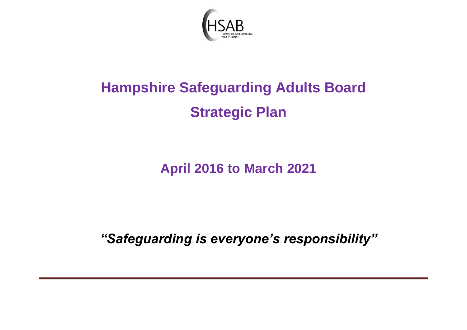

# **Hampshire Safeguarding Adults Board Strategic Plan**

**April 2016 to March 2021**

*"Safeguarding is everyone's responsibility"*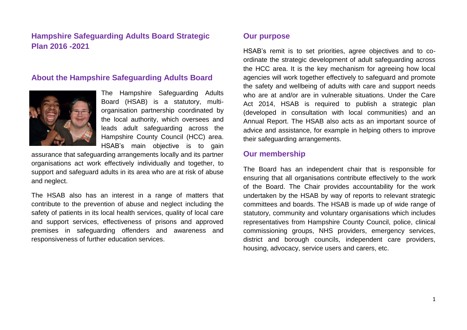# **Hampshire Safeguarding Adults Board Strategic Plan 2016 -2021**

#### **About the Hampshire Safeguarding Adults Board**



The Hampshire Safeguarding Adults Board (HSAB) is a statutory, multiorganisation partnership coordinated by the local authority, which oversees and leads adult safeguarding across the Hampshire County Council (HCC) area. HSAB's main objective is to gain

assurance that safeguarding arrangements locally and its partner organisations act work effectively individually and together, to support and safeguard adults in its area who are at risk of abuse and neglect.

The HSAB also has an interest in a range of matters that contribute to the prevention of abuse and neglect including the safety of patients in its local health services, quality of local care and support services, effectiveness of prisons and approved premises in safeguarding offenders and awareness and responsiveness of further education services.

#### **Our purpose**

HSAB's remit is to set priorities, agree objectives and to coordinate the strategic development of adult safeguarding across the HCC area. It is the key mechanism for agreeing how local agencies will work together effectively to safeguard and promote the safety and wellbeing of adults with care and support needs who are at and/or are in vulnerable situations. Under the Care Act 2014, HSAB is required to publish a strategic plan (developed in consultation with local communities) and an Annual Report. The HSAB also acts as an important source of advice and assistance, for example in helping others to improve their safeguarding arrangements.

#### **Our membership**

The Board has an independent chair that is responsible for ensuring that all organisations contribute effectively to the work of the Board. The Chair provides accountability for the work undertaken by the HSAB by way of reports to relevant strategic committees and boards. The HSAB is made up of wide range of statutory, community and voluntary organisations which includes representatives from Hampshire County Council, police, clinical commissioning groups, NHS providers, emergency services, district and borough councils, independent care providers, housing, advocacy, service users and carers, etc.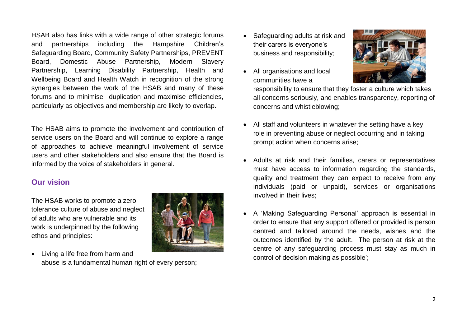HSAB also has links with a wide range of other strategic forums and partnerships including the Hampshire Children's Safeguarding Board, Community Safety Partnerships, PREVENT Board, Domestic Abuse Partnership, Modern Slavery Partnership, Learning Disability Partnership, Health and Wellbeing Board and Health Watch in recognition of the strong synergies between the work of the HSAB and many of these forums and to minimise duplication and maximise efficiencies, particularly as objectives and membership are likely to overlap.

The HSAB aims to promote the involvement and contribution of service users on the Board and will continue to explore a range of approaches to achieve meaningful involvement of service users and other stakeholders and also ensure that the Board is informed by the voice of stakeholders in general.

#### **Our vision**

The HSAB works to promote a zero tolerance culture of abuse and neglect of adults who are vulnerable and its work is underpinned by the following ethos and principles:



 Living a life free from harm and abuse is a fundamental human right of every person;

- Safeguarding adults at risk and their carers is everyone's business and responsibility;
- All organisations and local communities have a



responsibility to ensure that they foster a culture which takes all concerns seriously, and enables transparency, reporting of concerns and whistleblowing;

- All staff and volunteers in whatever the setting have a key role in preventing abuse or neglect occurring and in taking prompt action when concerns arise;
- Adults at risk and their families, carers or representatives must have access to information regarding the standards, quality and treatment they can expect to receive from any individuals (paid or unpaid), services or organisations involved in their lives;
- A 'Making Safeguarding Personal' approach is essential in order to ensure that any support offered or provided is person centred and tailored around the needs, wishes and the outcomes identified by the adult. The person at risk at the centre of any safeguarding process must stay as much in control of decision making as possible';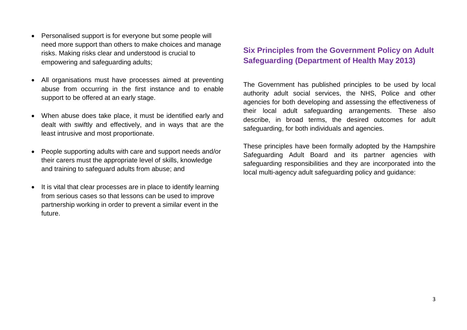- Personalised support is for everyone but some people will need more support than others to make choices and manage risks. Making risks clear and understood is crucial to empowering and safeguarding adults;
- All organisations must have processes aimed at preventing abuse from occurring in the first instance and to enable support to be offered at an early stage.
- When abuse does take place, it must be identified early and dealt with swiftly and effectively, and in ways that are the least intrusive and most proportionate.
- People supporting adults with care and support needs and/or their carers must the appropriate level of skills, knowledge and training to safeguard adults from abuse; and
- It is vital that clear processes are in place to identify learning from serious cases so that lessons can be used to improve partnership working in order to prevent a similar event in the future.

# **Six Principles from the Government Policy on Adult Safeguarding (Department of Health May 2013)**

The Government has published principles to be used by local authority adult social services, the NHS, Police and other agencies for both developing and assessing the effectiveness of their local adult safeguarding arrangements. These also describe, in broad terms, the desired outcomes for adult safeguarding, for both individuals and agencies.

These principles have been formally adopted by the Hampshire Safeguarding Adult Board and its partner agencies with safeguarding responsibilities and they are incorporated into the local multi-agency adult safeguarding policy and guidance: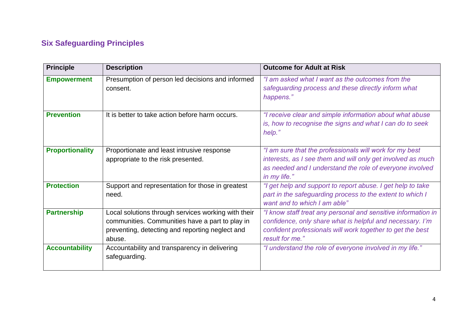# **Six Safeguarding Principles**

| <b>Principle</b>       | <b>Description</b>                                                                                                                                                  | <b>Outcome for Adult at Risk</b>                                                                                                                                                                            |
|------------------------|---------------------------------------------------------------------------------------------------------------------------------------------------------------------|-------------------------------------------------------------------------------------------------------------------------------------------------------------------------------------------------------------|
| <b>Empowerment</b>     | Presumption of person led decisions and informed<br>consent.                                                                                                        | "I am asked what I want as the outcomes from the<br>safeguarding process and these directly inform what<br>happens."                                                                                        |
| <b>Prevention</b>      | It is better to take action before harm occurs.                                                                                                                     | "I receive clear and simple information about what abuse<br>is, how to recognise the signs and what I can do to seek<br>help."                                                                              |
| <b>Proportionality</b> | Proportionate and least intrusive response<br>appropriate to the risk presented.                                                                                    | "I am sure that the professionals will work for my best<br>interests, as I see them and will only get involved as much<br>as needed and I understand the role of everyone involved<br>in my life."          |
| <b>Protection</b>      | Support and representation for those in greatest<br>need.                                                                                                           | "I get help and support to report abuse. I get help to take<br>part in the safeguarding process to the extent to which I<br>want and to which I am able"                                                    |
| <b>Partnership</b>     | Local solutions through services working with their<br>communities. Communities have a part to play in<br>preventing, detecting and reporting neglect and<br>abuse. | "I know staff treat any personal and sensitive information in<br>confidence, only share what is helpful and necessary. I'm<br>confident professionals will work together to get the best<br>result for me." |
| <b>Accountability</b>  | Accountability and transparency in delivering<br>safeguarding.                                                                                                      | "I understand the role of everyone involved in my life."                                                                                                                                                    |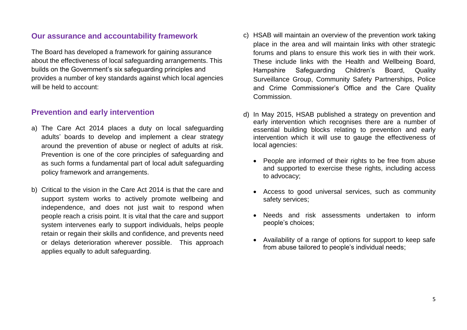#### **Our assurance and accountability framework**

The Board has developed a framework for gaining assurance about the effectiveness of local safeguarding arrangements. This builds on the Government's six safeguarding principles and provides a number of key standards against which local agencies will be held to account:

#### **Prevention and early intervention**

- a) The Care Act 2014 places a duty on local safeguarding adults' boards to develop and implement a clear strategy around the prevention of abuse or neglect of adults at risk. Prevention is one of the core principles of safeguarding and as such forms a fundamental part of local adult safeguarding policy framework and arrangements.
- b) Critical to the vision in the Care Act 2014 is that the care and support system works to actively promote wellbeing and independence, and does not just wait to respond when people reach a crisis point. It is vital that the care and support system intervenes early to support individuals, helps people retain or regain their skills and confidence, and prevents need or delays deterioration wherever possible. This approach applies equally to adult safeguarding.
- c) HSAB will maintain an overview of the prevention work taking place in the area and will maintain links with other strategic forums and plans to ensure this work ties in with their work. These include links with the Health and Wellbeing Board, Hampshire Safeguarding Children's Board, Quality Surveillance Group, Community Safety Partnerships, Police and Crime Commissioner's Office and the Care Quality Commission.
- d) In May 2015, HSAB published a strategy on prevention and early intervention which recognises there are a number of essential building blocks relating to prevention and early intervention which it will use to gauge the effectiveness of local agencies:
	- People are informed of their rights to be free from abuse and supported to exercise these rights, including access to advocacy;
	- Access to good universal services, such as community safety services;
	- Needs and risk assessments undertaken to inform people's choices;
	- Availability of a range of options for support to keep safe from abuse tailored to people's individual needs;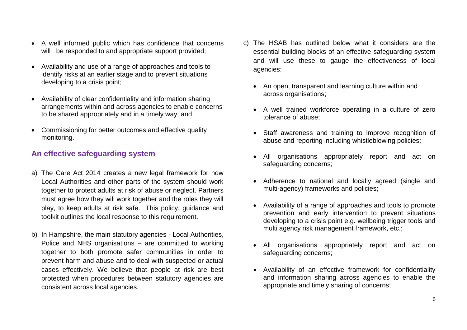- A well informed public which has confidence that concerns will be responded to and appropriate support provided;
- Availability and use of a range of approaches and tools to identify risks at an earlier stage and to prevent situations developing to a crisis point;
- Availability of clear confidentiality and information sharing arrangements within and across agencies to enable concerns to be shared appropriately and in a timely way; and
- Commissioning for better outcomes and effective quality monitoring.

# **An effective safeguarding system**

- a) The Care Act 2014 creates a new legal framework for how Local Authorities and other parts of the system should work together to protect adults at risk of abuse or neglect. Partners must agree how they will work together and the roles they will play, to keep adults at risk safe. This policy, guidance and toolkit outlines the local response to this requirement.
- b) In Hampshire, the main statutory agencies Local Authorities, Police and NHS organisations – are committed to working together to both promote safer communities in order to prevent harm and abuse and to deal with suspected or actual cases effectively. We believe that people at risk are best protected when procedures between statutory agencies are consistent across local agencies.
- c) The HSAB has outlined below what it considers are the essential building blocks of an effective safeguarding system and will use these to gauge the effectiveness of local agencies:
	- An open, transparent and learning culture within and across organisations;
	- A well trained workforce operating in a culture of zero tolerance of abuse;
	- Staff awareness and training to improve recognition of abuse and reporting including whistleblowing policies;
	- All organisations appropriately report and act on safeguarding concerns;
	- Adherence to national and locally agreed (single and multi-agency) frameworks and policies;
	- Availability of a range of approaches and tools to promote prevention and early intervention to prevent situations developing to a crisis point e.g. wellbeing trigger tools and multi agency risk management framework, etc.;
	- All organisations appropriately report and act on safeguarding concerns;
	- Availability of an effective framework for confidentiality and information sharing across agencies to enable the appropriate and timely sharing of concerns;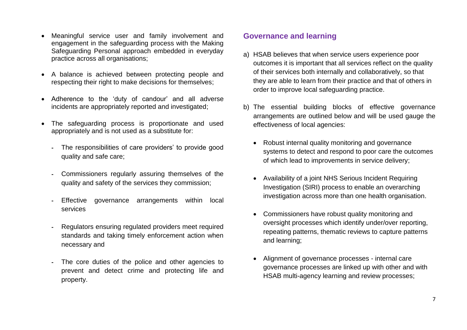- Meaningful service user and family involvement and engagement in the safeguarding process with the Making Safeguarding Personal approach embedded in everyday practice across all organisations;
- A balance is achieved between protecting people and respecting their right to make decisions for themselves;
- Adherence to the 'duty of candour' and all adverse incidents are appropriately reported and investigated;
- The safeguarding process is proportionate and used appropriately and is not used as a substitute for:
	- The responsibilities of care providers' to provide good quality and safe care;
	- Commissioners regularly assuring themselves of the quality and safety of the services they commission;
	- Effective governance arrangements within local services
	- Regulators ensuring regulated providers meet required standards and taking timely enforcement action when necessary and
	- The core duties of the police and other agencies to prevent and detect crime and protecting life and property.

### **Governance and learning**

- a) HSAB believes that when service users experience poor outcomes it is important that all services reflect on the quality of their services both internally and collaboratively, so that they are able to learn from their practice and that of others in order to improve local safeguarding practice.
- b) The essential building blocks of effective governance arrangements are outlined below and will be used gauge the effectiveness of local agencies:
	- Robust internal quality monitoring and governance systems to detect and respond to poor care the outcomes of which lead to improvements in service delivery;
	- Availability of a joint NHS Serious Incident Requiring Investigation (SIRI) process to enable an overarching investigation across more than one health organisation.
	- Commissioners have robust quality monitoring and oversight processes which identify under/over reporting, repeating patterns, thematic reviews to capture patterns and learning;
	- Alignment of governance processes internal care governance processes are linked up with other and with HSAB multi-agency learning and review processes;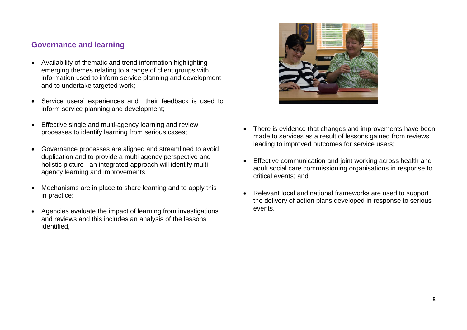#### **Governance and learning**

- Availability of thematic and trend information highlighting emerging themes relating to a range of client groups with information used to inform service planning and development and to undertake targeted work;
- Service users' experiences and their feedback is used to inform service planning and development;
- Effective single and multi-agency learning and review processes to identify learning from serious cases;
- Governance processes are aligned and streamlined to avoid duplication and to provide a multi agency perspective and holistic picture - an integrated approach will identify multiagency learning and improvements;
- Mechanisms are in place to share learning and to apply this in practice;
- Agencies evaluate the impact of learning from investigations and reviews and this includes an analysis of the lessons identified,



- There is evidence that changes and improvements have been made to services as a result of lessons gained from reviews leading to improved outcomes for service users;
- Effective communication and joint working across health and adult social care commissioning organisations in response to critical events; and
- Relevant local and national frameworks are used to support the delivery of action plans developed in response to serious events.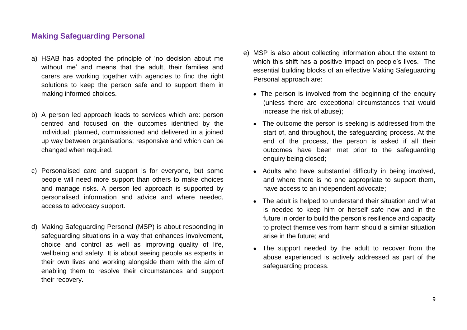#### **Making Safeguarding Personal**

- a) HSAB has adopted the principle of 'no decision about me without me' and means that the adult, their families and carers are working together with agencies to find the right solutions to keep the person safe and to support them in making informed choices.
- b) A person led approach leads to services which are: person centred and focused on the outcomes identified by the individual; planned, commissioned and delivered in a joined up way between organisations; responsive and which can be changed when required.
- c) Personalised care and support is for everyone, but some people will need more support than others to make choices and manage risks. A person led approach is supported by personalised information and advice and where needed, access to advocacy support.
- d) Making Safeguarding Personal (MSP) is about responding in safeguarding situations in a way that enhances involvement, choice and control as well as improving quality of life, wellbeing and safety. It is about seeing people as experts in their own lives and working alongside them with the aim of enabling them to resolve their circumstances and support their recovery.
- e) MSP is also about collecting information about the extent to which this shift has a positive impact on people's lives. The essential building blocks of an effective Making Safeguarding Personal approach are:
	- The person is involved from the beginning of the enquiry (unless there are exceptional circumstances that would increase the risk of abuse);
	- The outcome the person is seeking is addressed from the start of, and throughout, the safeguarding process. At the end of the process, the person is asked if all their outcomes have been met prior to the safeguarding enquiry being closed;
	- Adults who have substantial difficulty in being involved, and where there is no one appropriate to support them, have access to an independent advocate;
	- The adult is helped to understand their situation and what is needed to keep him or herself safe now and in the future in order to build the person's resilience and capacity to protect themselves from harm should a similar situation arise in the future; and
	- The support needed by the adult to recover from the abuse experienced is actively addressed as part of the safeguarding process.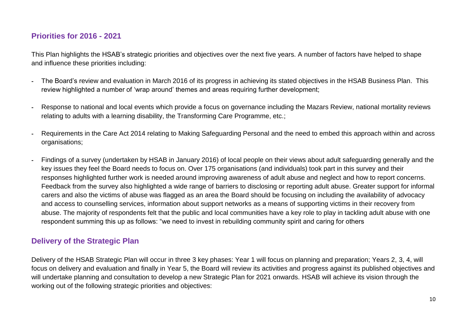# **Priorities for 2016 - 2021**

This Plan highlights the HSAB's strategic priorities and objectives over the next five years. A number of factors have helped to shape and influence these priorities including:

- The Board's review and evaluation in March 2016 of its progress in achieving its stated objectives in the HSAB Business Plan. This review highlighted a number of 'wrap around' themes and areas requiring further development;
- Response to national and local events which provide a focus on governance including the Mazars Review, national mortality reviews relating to adults with a learning disability, the Transforming Care Programme, etc.;
- Requirements in the Care Act 2014 relating to Making Safeguarding Personal and the need to embed this approach within and across organisations;
- Findings of a survey (undertaken by HSAB in January 2016) of local people on their views about adult safeguarding generally and the key issues they feel the Board needs to focus on. Over 175 organisations (and individuals) took part in this survey and their responses highlighted further work is needed around improving awareness of adult abuse and neglect and how to report concerns. Feedback from the survey also highlighted a wide range of barriers to disclosing or reporting adult abuse. Greater support for informal carers and also the victims of abuse was flagged as an area the Board should be focusing on including the availability of advocacy and access to counselling services, information about support networks as a means of supporting victims in their recovery from abuse. The majority of respondents felt that the public and local communities have a key role to play in tackling adult abuse with one respondent summing this up as follows: "we need to invest in rebuilding community spirit and caring for others

# **Delivery of the Strategic Plan**

Delivery of the HSAB Strategic Plan will occur in three 3 key phases: Year 1 will focus on planning and preparation; Years 2, 3, 4, will focus on delivery and evaluation and finally in Year 5, the Board will review its activities and progress against its published objectives and will undertake planning and consultation to develop a new Strategic Plan for 2021 onwards. HSAB will achieve its vision through the working out of the following strategic priorities and objectives: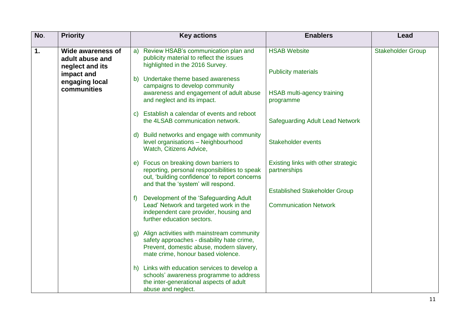| No. | <b>Priority</b>                                                                                               | <b>Key actions</b>                                                                                                                                                                                | <b>Enablers</b>                                     | Lead                     |
|-----|---------------------------------------------------------------------------------------------------------------|---------------------------------------------------------------------------------------------------------------------------------------------------------------------------------------------------|-----------------------------------------------------|--------------------------|
| 1.  | <b>Wide awareness of</b><br>adult abuse and<br>neglect and its<br>impact and<br>engaging local<br>communities | Review HSAB's communication plan and<br>a)<br>publicity material to reflect the issues<br>highlighted in the 2016 Survey.<br>b) Undertake theme based awareness<br>campaigns to develop community | <b>HSAB Website</b><br><b>Publicity materials</b>   | <b>Stakeholder Group</b> |
|     |                                                                                                               | awareness and engagement of adult abuse<br>and neglect and its impact.                                                                                                                            | HSAB multi-agency training<br>programme             |                          |
|     |                                                                                                               | Establish a calendar of events and reboot<br>C)<br>the 4LSAB communication network.                                                                                                               | <b>Safeguarding Adult Lead Network</b>              |                          |
|     |                                                                                                               | Build networks and engage with community<br>$\mathsf{d}$<br>level organisations - Neighbourhood<br>Watch, Citizens Advice,                                                                        | Stakeholder events                                  |                          |
|     |                                                                                                               | e) Focus on breaking down barriers to<br>reporting, personal responsibilities to speak<br>out, 'building confidence' to report concerns<br>and that the 'system' will respond.                    | Existing links with other strategic<br>partnerships |                          |
|     |                                                                                                               |                                                                                                                                                                                                   | <b>Established Stakeholder Group</b>                |                          |
|     |                                                                                                               | Development of the 'Safeguarding Adult<br>f<br>Lead' Network and targeted work in the<br>independent care provider, housing and<br>further education sectors.                                     | <b>Communication Network</b>                        |                          |
|     |                                                                                                               | Align activities with mainstream community<br>g)<br>safety approaches - disability hate crime,<br>Prevent, domestic abuse, modern slavery,<br>mate crime, honour based violence.                  |                                                     |                          |
|     |                                                                                                               | Links with education services to develop a<br>h)<br>schools' awareness programme to address<br>the inter-generational aspects of adult<br>abuse and neglect.                                      |                                                     |                          |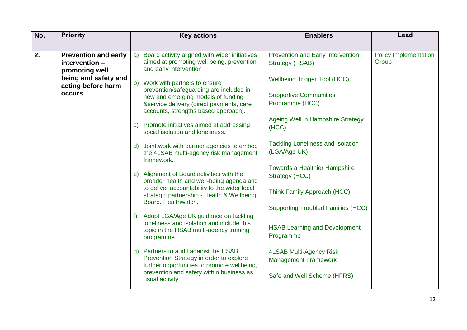| <b>Priority</b><br>No.                                                | <b>Key actions</b>                                                                                                                                                                                                | <b>Enablers</b>                                                                                                              | Lead                                  |
|-----------------------------------------------------------------------|-------------------------------------------------------------------------------------------------------------------------------------------------------------------------------------------------------------------|------------------------------------------------------------------------------------------------------------------------------|---------------------------------------|
| 2.<br><b>Prevention and early</b><br>intervention -<br>promoting well | a) Board activity aligned with wider initiatives<br>aimed at promoting well being, prevention<br>and early intervention                                                                                           | <b>Prevention and Early Intervention</b><br><b>Strategy (HSAB)</b>                                                           | <b>Policy Implementation</b><br>Group |
| being and safety and<br>acting before harm<br><b>occurs</b>           | Work with partners to ensure<br>$\mathsf{b}$<br>prevention/safeguarding are included in<br>new and emerging models of funding<br>&service delivery (direct payments, care<br>accounts, strengths based approach). | <b>Wellbeing Trigger Tool (HCC)</b><br><b>Supportive Communities</b><br>Programme (HCC)<br>Ageing Well in Hampshire Strategy |                                       |
|                                                                       | c) Promote initiatives aimed at addressing<br>social isolation and loneliness.<br>Joint work with partner agencies to embed<br>$\mathsf{d}$                                                                       | (HCC)<br><b>Tackling Loneliness and Isolation</b><br>(LGA/Age UK)                                                            |                                       |
|                                                                       | the 4LSAB multi-agency risk management<br>framework.<br>e) Alignment of Board activities with the                                                                                                                 | <b>Towards a Healthier Hampshire</b><br>Strategy (HCC)                                                                       |                                       |
|                                                                       | broader health and well-being agenda and<br>to deliver accountability to the wider local<br>strategic partnership - Health & Wellbeing<br>Board. Healthwatch.                                                     | Think Family Approach (HCC)                                                                                                  |                                       |
|                                                                       | f) Adopt LGA/Age UK guidance on tackling<br>loneliness and isolation and include this<br>topic in the HSAB multi-agency training<br>programme.                                                                    | <b>Supporting Troubled Families (HCC)</b><br><b>HSAB Learning and Development</b><br>Programme                               |                                       |
|                                                                       | g) Partners to audit against the HSAB<br>Prevention Strategy in order to explore<br>further opportunities to promote wellbeing,<br>prevention and safety within business as                                       | 4LSAB Multi-Agency Risk<br><b>Management Framework</b><br>Safe and Well Scheme (HFRS)                                        |                                       |
|                                                                       | usual activity.                                                                                                                                                                                                   |                                                                                                                              |                                       |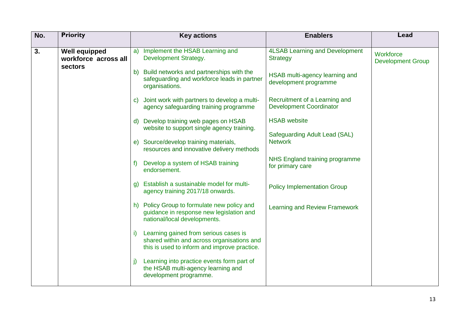| No. | <b>Priority</b>                                         | <b>Key actions</b>                                                                                                                        | <b>Enablers</b>                                                 | Lead                                  |
|-----|---------------------------------------------------------|-------------------------------------------------------------------------------------------------------------------------------------------|-----------------------------------------------------------------|---------------------------------------|
| 3.  | <b>Well equipped</b><br>workforce across all<br>sectors | Implement the HSAB Learning and<br>a)<br>Development Strategy.                                                                            | <b>4LSAB Learning and Development</b><br><b>Strategy</b>        | Workforce<br><b>Development Group</b> |
|     |                                                         | b) Build networks and partnerships with the<br>safeguarding and workforce leads in partner<br>organisations.                              | HSAB multi-agency learning and<br>development programme         |                                       |
|     |                                                         | c) Joint work with partners to develop a multi-<br>agency safeguarding training programme                                                 | Recruitment of a Learning and<br><b>Development Coordinator</b> |                                       |
|     |                                                         | d) Develop training web pages on HSAB<br>website to support single agency training.                                                       | <b>HSAB</b> website                                             |                                       |
|     |                                                         | e) Source/develop training materials,<br>resources and innovative delivery methods                                                        | Safeguarding Adult Lead (SAL)<br><b>Network</b>                 |                                       |
|     |                                                         | Develop a system of HSAB training<br>f<br>endorsement.                                                                                    | NHS England training programme<br>for primary care              |                                       |
|     |                                                         | g) Establish a sustainable model for multi-<br>agency training 2017/18 onwards.                                                           | <b>Policy Implementation Group</b>                              |                                       |
|     |                                                         | h) Policy Group to formulate new policy and<br>guidance in response new legislation and<br>national/local developments.                   | <b>Learning and Review Framework</b>                            |                                       |
|     |                                                         | Learning gained from serious cases is<br>i)<br>shared within and across organisations and<br>this is used to inform and improve practice. |                                                                 |                                       |
|     |                                                         | Learning into practice events form part of<br>j)<br>the HSAB multi-agency learning and<br>development programme.                          |                                                                 |                                       |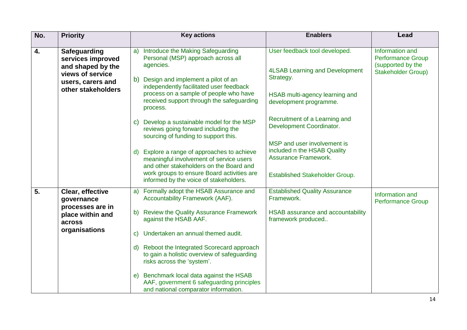| No. | <b>Priority</b>                                                                                                              | <b>Key actions</b>                                                                                                                                                                                                                                                                                                                                                                                                                                         | <b>Enablers</b>                                                                                                                                                                                              | Lead                                                                                                 |
|-----|------------------------------------------------------------------------------------------------------------------------------|------------------------------------------------------------------------------------------------------------------------------------------------------------------------------------------------------------------------------------------------------------------------------------------------------------------------------------------------------------------------------------------------------------------------------------------------------------|--------------------------------------------------------------------------------------------------------------------------------------------------------------------------------------------------------------|------------------------------------------------------------------------------------------------------|
| 4.  | <b>Safeguarding</b><br>services improved<br>and shaped by the<br>views of service<br>users, carers and<br>other stakeholders | a) Introduce the Making Safeguarding<br>Personal (MSP) approach across all<br>agencies.<br>b) Design and implement a pilot of an<br>independently facilitated user feedback<br>process on a sample of people who have<br>received support through the safeguarding<br>process.<br>c) Develop a sustainable model for the MSP                                                                                                                               | User feedback tool developed.<br><b>4LSAB Learning and Development</b><br>Strategy.<br>HSAB multi-agency learning and<br>development programme.<br>Recruitment of a Learning and<br>Development Coordinator. | <b>Information and</b><br><b>Performance Group</b><br>(supported by the<br><b>Stakeholder Group)</b> |
|     |                                                                                                                              | reviews going forward including the<br>sourcing of funding to support this.<br>d) Explore a range of approaches to achieve<br>meaningful involvement of service users<br>and other stakeholders on the Board and<br>work groups to ensure Board activities are<br>informed by the voice of stakeholders.                                                                                                                                                   | MSP and user involvement is<br>included n the HSAB Quality<br><b>Assurance Framework.</b><br><b>Established Stakeholder Group.</b>                                                                           |                                                                                                      |
| 5.  | Clear, effective<br>governance<br>processes are in<br>place within and<br>across<br>organisations                            | a) Formally adopt the HSAB Assurance and<br>Accountability Framework (AAF).<br>b) Review the Quality Assurance Framework<br>against the HSAB AAF.<br>Undertaken an annual themed audit.<br>C)<br>d) Reboot the Integrated Scorecard approach<br>to gain a holistic overview of safeguarding<br>risks across the 'system'.<br>e) Benchmark local data against the HSAB<br>AAF, government 6 safeguarding principles<br>and national comparator information. | <b>Established Quality Assurance</b><br>Framework.<br>HSAB assurance and accountability<br>framework produced                                                                                                | Information and<br><b>Performance Group</b>                                                          |